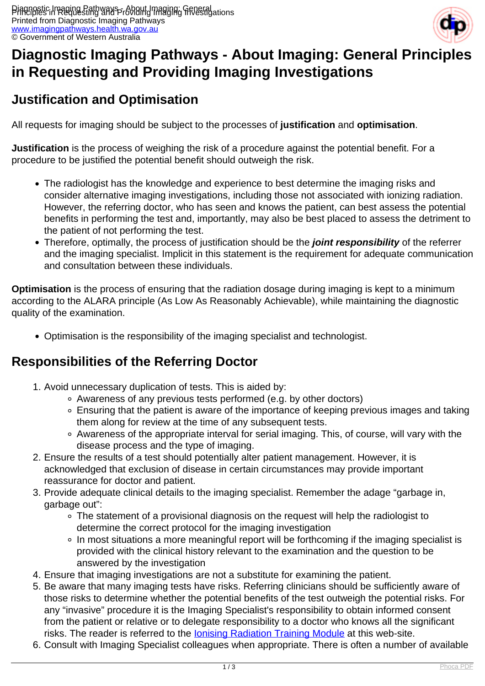

# **Diagnostic Imaging Pathways - About Imaging: General Principles in Requesting and Providing Imaging Investigations**

### **Justification and Optimisation**

All requests for imaging should be subject to the processes of **justification** and **optimisation**.

**Justification** is the process of weighing the risk of a procedure against the potential benefit. For a procedure to be justified the potential benefit should outweigh the risk.

- The radiologist has the knowledge and experience to best determine the imaging risks and consider alternative imaging investigations, including those not associated with ionizing radiation. However, the referring doctor, who has seen and knows the patient, can best assess the potential benefits in performing the test and, importantly, may also be best placed to assess the detriment to the patient of not performing the test.
- Therefore, optimally, the process of justification should be the **joint responsibility** of the referrer and the imaging specialist. Implicit in this statement is the requirement for adequate communication and consultation between these individuals.

**Optimisation** is the process of ensuring that the radiation dosage during imaging is kept to a minimum according to the ALARA principle (As Low As Reasonably Achievable), while maintaining the diagnostic quality of the examination.

Optimisation is the responsibility of the imaging specialist and technologist.

### **Responsibilities of the Referring Doctor**

- 1. Avoid unnecessary duplication of tests. This is aided by:
	- Awareness of any previous tests performed (e.g. by other doctors)
	- Ensuring that the patient is aware of the importance of keeping previous images and taking them along for review at the time of any subsequent tests.
	- Awareness of the appropriate interval for serial imaging. This, of course, will vary with the disease process and the type of imaging.
- 2. Ensure the results of a test should potentially alter patient management. However, it is acknowledged that exclusion of disease in certain circumstances may provide important reassurance for doctor and patient.
- 3. Provide adequate clinical details to the imaging specialist. Remember the adage "garbage in, garbage out":
	- The statement of a provisional diagnosis on the request will help the radiologist to determine the correct protocol for the imaging investigation
	- In most situations a more meaningful report will be forthcoming if the imaging specialist is provided with the clinical history relevant to the examination and the question to be answered by the investigation
- 4. Ensure that imaging investigations are not a substitute for examining the patient.
- 5. Be aware that many imaging tests have risks. Referring clinicians should be sufficiently aware of those risks to determine whether the potential benefits of the test outweigh the potential risks. For any "invasive" procedure it is the Imaging Specialist's responsibility to obtain informed consent from the patient or relative or to delegate responsibility to a doctor who knows all the significant risks. The reader is referred to the **Ionising Radiation Training Module** at this web-site.
- 6. Consult with Imaging Specialist colleagues when appropriate. There is often a number of available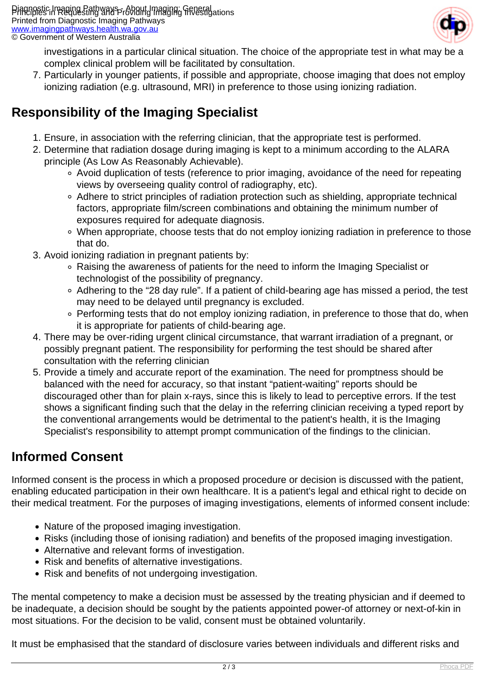

investigations in a particular clinical situation. The choice of the appropriate test in what may be a complex clinical problem will be facilitated by consultation.

7. Particularly in younger patients, if possible and appropriate, choose imaging that does not employ ionizing radiation (e.g. ultrasound, MRI) in preference to those using ionizing radiation.

## **Responsibility of the Imaging Specialist**

- 1. Ensure, in association with the referring clinician, that the appropriate test is performed.
- 2. Determine that radiation dosage during imaging is kept to a minimum according to the ALARA principle (As Low As Reasonably Achievable).
	- Avoid duplication of tests (reference to prior imaging, avoidance of the need for repeating views by overseeing quality control of radiography, etc).
	- Adhere to strict principles of radiation protection such as shielding, appropriate technical factors, appropriate film/screen combinations and obtaining the minimum number of exposures required for adequate diagnosis.
	- When appropriate, choose tests that do not employ ionizing radiation in preference to those that do.
- 3. Avoid ionizing radiation in pregnant patients by:
	- Raising the awareness of patients for the need to inform the Imaging Specialist or technologist of the possibility of pregnancy.
	- Adhering to the "28 day rule". If a patient of child-bearing age has missed a period, the test may need to be delayed until pregnancy is excluded.
	- Performing tests that do not employ ionizing radiation, in preference to those that do, when it is appropriate for patients of child-bearing age.
- 4. There may be over-riding urgent clinical circumstance, that warrant irradiation of a pregnant, or possibly pregnant patient. The responsibility for performing the test should be shared after consultation with the referring clinician
- 5. Provide a timely and accurate report of the examination. The need for promptness should be balanced with the need for accuracy, so that instant "patient-waiting" reports should be discouraged other than for plain x-rays, since this is likely to lead to perceptive errors. If the test shows a significant finding such that the delay in the referring clinician receiving a typed report by the conventional arrangements would be detrimental to the patient's health, it is the Imaging Specialist's responsibility to attempt prompt communication of the findings to the clinician.

## **Informed Consent**

Informed consent is the process in which a proposed procedure or decision is discussed with the patient, enabling educated participation in their own healthcare. It is a patient's legal and ethical right to decide on their medical treatment. For the purposes of imaging investigations, elements of informed consent include:

- Nature of the proposed imaging investigation.
- Risks (including those of ionising radiation) and benefits of the proposed imaging investigation.
- Alternative and relevant forms of investigation.
- Risk and benefits of alternative investigations.
- Risk and benefits of not undergoing investigation.

The mental competency to make a decision must be assessed by the treating physician and if deemed to be inadequate, a decision should be sought by the patients appointed power-of attorney or next-of-kin in most situations. For the decision to be valid, consent must be obtained voluntarily.

It must be emphasised that the standard of disclosure varies between individuals and different risks and